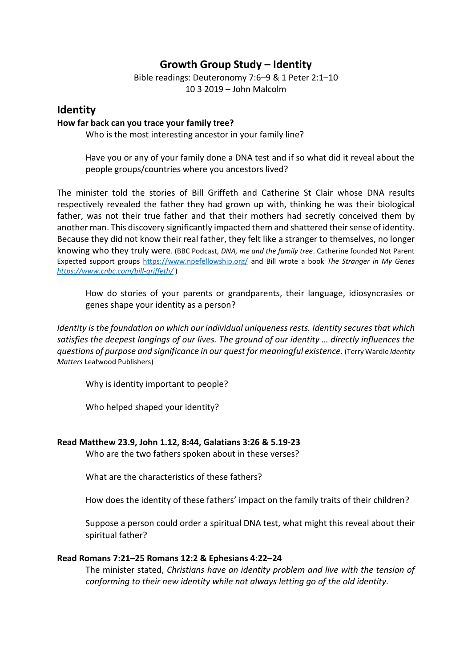# **Growth Group Study – Identity**

Bible readings: Deuteronomy 7:6–9 & 1 Peter 2:1–10 10 3 2019 – John Malcolm

# **Identity**

#### **How far back can you trace your family tree?**

Who is the most interesting ancestor in your family line?

Have you or any of your family done a DNA test and if so what did it reveal about the people groups/countries where you ancestors lived?

The minister told the stories of Bill Griffeth and Catherine St Clair whose DNA results respectively revealed the father they had grown up with, thinking he was their biological father, was not their true father and that their mothers had secretly conceived them by another man. This discovery significantly impacted them and shattered their sense of identity. Because they did not know their real father, they felt like a stranger to themselves, no longer knowing who they truly were. (BBC Podcast, *DNA, me and the family tree*. Catherine founded Not Parent Expected support groups<https://www.npefellowship.org/> and Bill wrote a book *The Stranger in My Genes <https://www.cnbc.com/bill-griffeth/>* )

How do stories of your parents or grandparents, their language, idiosyncrasies or genes shape your identity as a person?

*Identity is the foundation on which our individual uniqueness rests. Identity secures that which satisfies the deepest longings of our lives. The ground of our identity … directly influences the questions of purpose and significance in our quest for meaningful existence.* (Terry Wardle *Identity Matters* Leafwood Publishers)

Why is identity important to people?

Who helped shaped your identity?

#### **Read Matthew 23.9, John 1.12, 8:44, Galatians 3:26 & 5.19-23**

Who are the two fathers spoken about in these verses?

What are the characteristics of these fathers?

How does the identity of these fathers' impact on the family traits of their children?

Suppose a person could order a spiritual DNA test, what might this reveal about their spiritual father?

#### **Read Romans 7:21–25 Romans 12:2 & Ephesians 4:22–24**

The minister stated, *Christians have an identity problem and live with the tension of conforming to their new identity while not always letting go of the old identity.*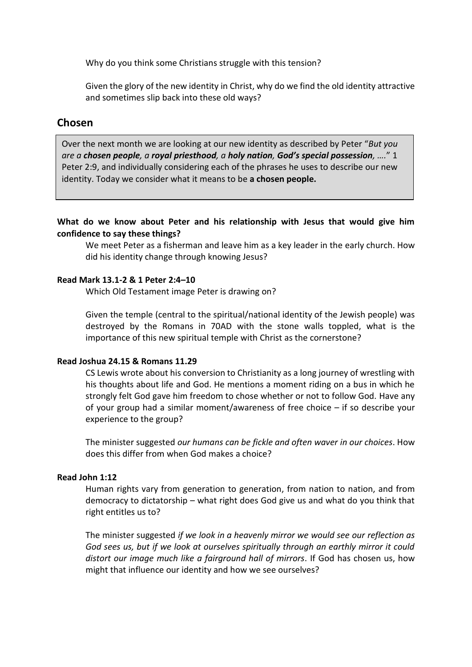Why do you think some Christians struggle with this tension?

Given the glory of the new identity in Christ, why do we find the old identity attractive and sometimes slip back into these old ways?

# **Chosen**

Over the next month we are looking at our new identity as described by Peter "*But you are a chosen people, a royal priesthood, a holy nation, God's special possession, ….*" 1 Peter 2:9, and individually considering each of the phrases he uses to describe our new identity. Today we consider what it means to be **a chosen people.**

**What do we know about Peter and his relationship with Jesus that would give him confidence to say these things?**

We meet Peter as a fisherman and leave him as a key leader in the early church. How did his identity change through knowing Jesus?

#### **Read Mark 13.1-2 & 1 Peter 2:4–10**

Which Old Testament image Peter is drawing on?

Given the temple (central to the spiritual/national identity of the Jewish people) was destroyed by the Romans in 70AD with the stone walls toppled, what is the importance of this new spiritual temple with Christ as the cornerstone?

#### **Read Joshua 24.15 & Romans 11.29**

CS Lewis wrote about his conversion to Christianity as a long journey of wrestling with his thoughts about life and God. He mentions a moment riding on a bus in which he strongly felt God gave him freedom to chose whether or not to follow God. Have any of your group had a similar moment/awareness of free choice – if so describe your experience to the group?

The minister suggested *our humans can be fickle and often waver in our choices*. How does this differ from when God makes a choice?

#### **Read John 1:12**

Human rights vary from generation to generation, from nation to nation, and from democracy to dictatorship – what right does God give us and what do you think that right entitles us to?

The minister suggested *if we look in a heavenly mirror we would see our reflection as God sees us, but if we look at ourselves spiritually through an earthly mirror it could distort our image much like a fairground hall of mirrors*. If God has chosen us, how might that influence our identity and how we see ourselves?